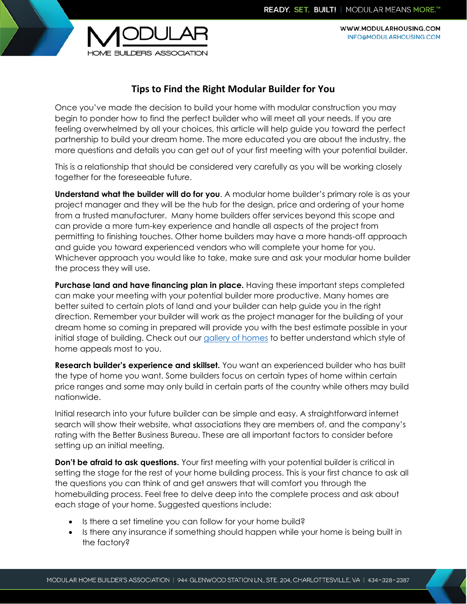WWW.MODULARHOUSING.COM INFO@MODULARHOUSING.COM



## **Tips to Find the Right Modular Builder for You**

Once you've made the decision to build your home with modular construction you may begin to ponder how to find the perfect builder who will meet all your needs. If you are feeling overwhelmed by all your choices, this article will help guide you toward the perfect partnership to build your dream home. The more educated you are about the industry, the more questions and details you can get out of your first meeting with your potential builder.

This is a relationship that should be considered very carefully as you will be working closely together for the foreseeable future.

**Understand what the builder will do for you**. A modular home builder's primary role is as your project manager and they will be the hub for the design, price and ordering of your home from a trusted manufacturer. Many home builders offer services beyond this scope and can provide a more turn-key experience and handle all aspects of the project from permitting to finishing touches. Other home builders may have a more hands-off approach and guide you toward experienced vendors who will complete your home for you. Whichever approach you would like to take, make sure and ask your modular home builder the process they will use.

**Purchase land and have financing plan in place.** Having these important steps completed can make your meeting with your potential builder more productive. Many homes are better suited to certain plots of land and your builder can help guide you in the right direction. Remember your builder will work as the project manager for the building of your dream home so coming in prepared will provide you with the best estimate possible in your initial stage of building. Check out our [gallery of homes](http://www.modularhousing.com/HtmlPage.aspx?name=gallery) to better understand which style of home appeals most to you.

**Research builder's experience and skillset.** You want an experienced builder who has built the type of home you want. Some builders focus on certain types of home within certain price ranges and some may only build in certain parts of the country while others may build nationwide.

Initial research into your future builder can be simple and easy. A straightforward internet search will show their website, what associations they are members of, and the company's rating with the Better Business Bureau. These are all important factors to consider before setting up an initial meeting.

**Don't be afraid to ask questions.** Your first meeting with your potential builder is critical in setting the stage for the rest of your home building process. This is your first chance to ask all the questions you can think of and get answers that will comfort you through the homebuilding process. Feel free to delve deep into the complete process and ask about each stage of your home. Suggested questions include:

- Is there a set timeline you can follow for your home build?
- Is there any insurance if something should happen while your home is being built in the factory?